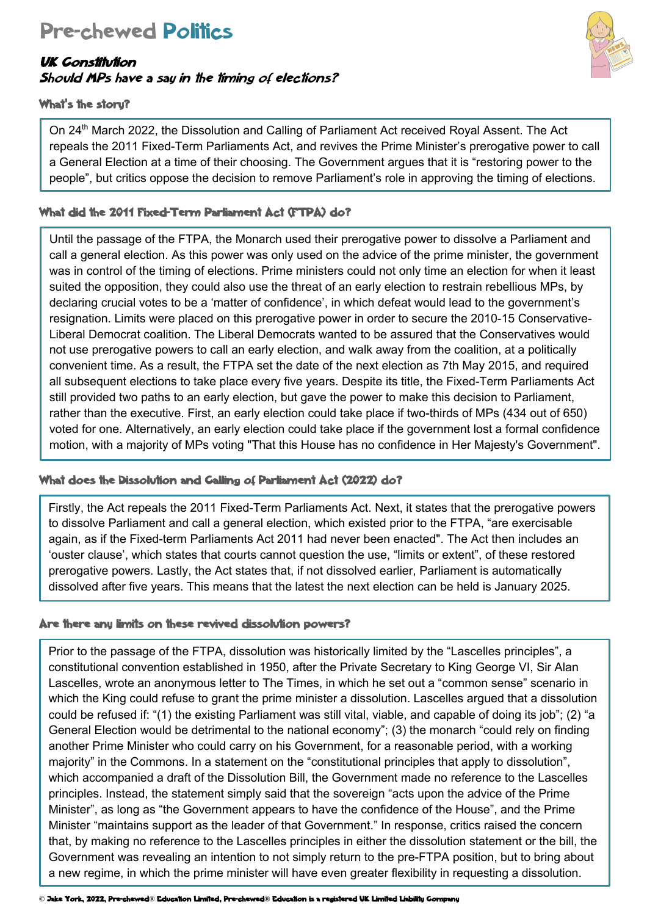## Pre-chewed Politics

## UK Constitution Should MPs have a say in the timing of elections?



### What's the storu?

I

I

I I

I

On 24<sup>th</sup> March 2022, the Dissolution and Calling of Parliament Act received Royal Assent. The Act repeals the 2011 Fixed-Term Parliaments Act, and revives the Prime Minister's prerogative power to call a General Election at a time of their choosing. The Government argues that it is "restoring power to the people", but critics oppose the decision to remove Parliament's role in approving the timing of elections.

## What did the 2011 Fixed-Term Parliament Act (FTPA) do?

Until the passage of the FTPA, the Monarch used their prerogative power to dissolve a Parliament and call a general election. As this power was only used on the advice of the prime minister, the government was in control of the timing of elections. Prime ministers could not only time an election for when it least suited the opposition, they could also use the threat of an early election to restrain rebellious MPs, by declaring crucial votes to be a 'matter of confidence', in which defeat would lead to the government's resignation. Limits were placed on this prerogative power in order to secure the 2010-15 Conservative-Liberal Democrat coalition. The Liberal Democrats wanted to be assured that the Conservatives would not use prerogative powers to call an early election, and walk away from the coalition, at a politically convenient time. As a result, the FTPA set the date of the next election as 7th May 2015, and required all subsequent elections to take place every five years. Despite its title, the Fixed-Term Parliaments Act still provided two paths to an early election, but gave the power to make this decision to Parliament, rather than the executive. First, an early election could take place if two-thirds of MPs (434 out of 650) voted for one. Alternatively, an early election could take place if the government lost a formal confidence motion, with a majority of MPs voting "That this House has no confidence in Her Majesty's Government".

## What does the Dissolution and Calling of Parliament Act (2022) do?

Firstly, the Act repeals the 2011 Fixed-Term Parliaments Act. Next, it states that the prerogative powers to dissolve Parliament and call a general election, which existed prior to the FTPA, "are exercisable again, as if the Fixed-term Parliaments Act 2011 had never been enacted". The Act then includes an 'ouster clause', which states that courts cannot question the use, "limits or extent", of these restored prerogative powers. Lastly, the Act states that, if not dissolved earlier, Parliament is automatically dissolved after five years. This means that the latest the next election can be held is January 2025.

### Are there any limits on these revived dissolution powers?

Prior to the passage of the FTPA, dissolution was historically limited by the "Lascelles principles", a constitutional convention established in 1950, after the Private Secretary to King George VI, Sir Alan Lascelles, wrote an anonymous letter to The Times, in which he set out a "common sense" scenario in which the King could refuse to grant the prime minister a dissolution. Lascelles argued that a dissolution could be refused if: "(1) the existing Parliament was still vital, viable, and capable of doing its job"; (2) "a General Election would be detrimental to the national economy"; (3) the monarch "could rely on finding another Prime Minister who could carry on his Government, for a reasonable period, with a working majority" in the Commons. In a statement on the "constitutional principles that apply to dissolution", which accompanied a draft of the Dissolution Bill, the Government made no reference to the Lascelles principles. Instead, the statement simply said that the sovereign "acts upon the advice of the Prime Minister", as long as "the Government appears to have the confidence of the House", and the Prime Minister "maintains support as the leader of that Government." In response, critics raised the concern that, by making no reference to the Lascelles principles in either the dissolution statement or the bill, the Government was revealing an intention to not simply return to the pre-FTPA position, but to bring about a new regime, in which the prime minister will have even greater flexibility in requesting a dissolution.